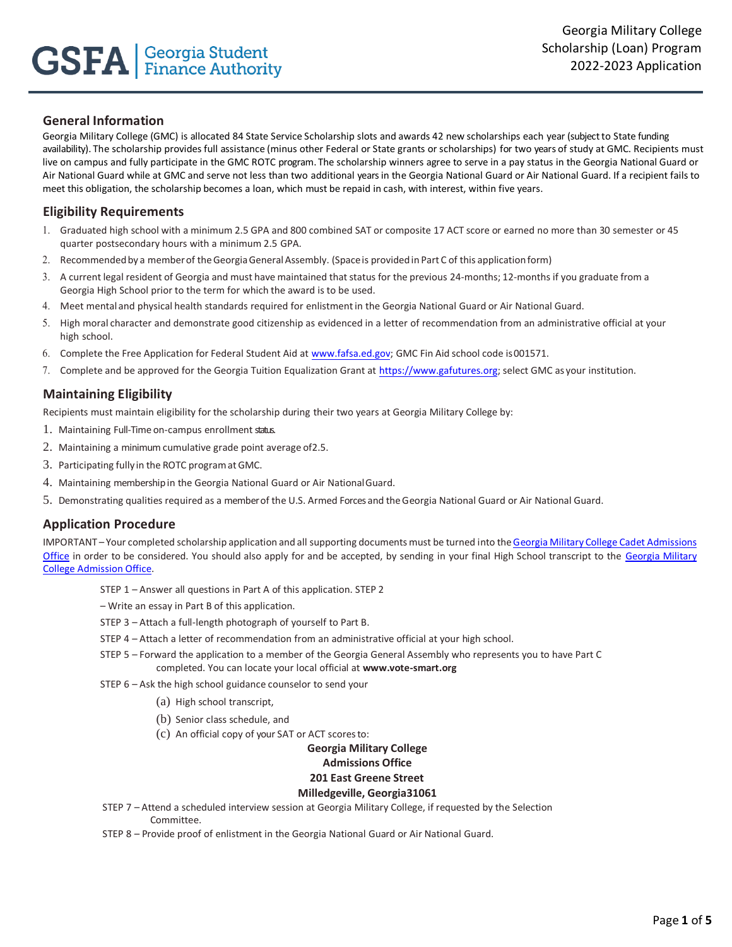# **General Information**

Georgia Military College (GMC) is allocated 84 State Service Scholarship slots and awards 42 new scholarships each year (subject to State funding availability). The scholarship provides full assistance (minus other Federal or State grants or scholarships) for two years of study at GMC. Recipients must live on campus and fully participate in the GMC ROTC program. The scholarship winners agree to serve in a pay status in the Georgia National Guard or Air National Guard while at GMC and serve not less than two additional years in the Georgia National Guard or Air National Guard. If a recipient fails to meet this obligation, the scholarship becomes a loan, which must be repaid in cash, with interest, within five years.

# **Eligibility Requirements**

- 1. Graduated high school with a minimum 2.5 GPA and 800 combined SAT or composite 17 ACT score or earned no more than 30 semester or 45 quarter postsecondary hours with a minimum 2.5 GPA.
- 2. Recommended by a member of the Georgia General Assembly. (Space is provided in Part C of this application form)
- 3. A current legal resident of Georgia and must have maintained that status for the previous 24-months; 12-months if you graduate from a Georgia High School prior to the term for which the award is to be used.
- 4. Meet mental and physical health standards required for enlistment in the Georgia National Guard or Air National Guard.
- 5. High moral character and demonstrate good citizenship as evidenced in a letter of recommendation from an administrative official at your high school.
- 6. Complete the Free Application for Federal Student Aid at [www.fafsa.ed.gov; G](http://www.fafsa.ed.gov/)MC Fin Aid school code is 001571.
- 7. Complete and be approved for the Georgia Tuition Equalization Grant at [https://www.gafutures.org; s](https://www.gafutures.org/hope-state-aid-programs/scholarships-grants/georgia-tuition-equalization-grant/)elect GMC as your institution.

## **Maintaining Eligibility**

Recipients must maintain eligibility for the scholarship during their two years at Georgia Military College by:

- 1. Maintaining Full-Time on-campus enrollment status.
- 2. Maintaining a minimum cumulative grade point average of2.5.
- 3. Participating fullyin the ROTC programatGMC.
- 4. Maintaining membershipin the Georgia National Guard or Air NationalGuard.
- 5. Demonstrating qualities required as a memberof the U.S. Armed Forces and theGeorgia National Guard or Air National Guard.

## **Application Procedure**

IMPORTANT – Your completed scholarship application and all supporting documents must be turned into th[eGeorgia](mailto:cadetadmissions@gmc.edu) Military College Cadet [Admissions](mailto:cadetadmissions@gmc.edu) [Office](mailto:cadetadmissions@gmc.edu) in order to be considered. You should also apply for and be accepted, by sending in your final High School transcript to the [Georgia Military](https://dmz-mil-rws-028.gmc.cc.ga.us/Datatel.ERecruiting.Web.External/Pages/Welcome.aspx) [College Admission](https://dmz-mil-rws-028.gmc.cc.ga.us/Datatel.ERecruiting.Web.External/Pages/Welcome.aspx) Office.

STEP 1 – Answer all questions in Part A of this application. STEP 2

– Write an essay in Part B of this application.

- STEP 3 Attach a full-length photograph of yourself to Part B.
- STEP 4 Attach a letter of recommendation from an administrative official at your high school.
- STEP 5 Forward the application to a member of the Georgia General Assembly who represents you to have Part C completed. You can locate your local official at **[www.vote-smart.org](http://www.house.ga.gov/Representatives/en-US/HouseMembersList.aspx?Sort=District&%3BSession)**
- STEP 6 Ask the high school guidance counselor to send your
	- (a) High school transcript,
	- (b) Senior class schedule, and
	- (c) An official copy of your SAT or ACT scoresto:

## **Georgia Military College**

### **Admissions Office**

### **201 East Greene Street**

## **Milledgeville, Georgia31061**

STEP 7 – Attend a scheduled interview session at Georgia Military College, if requested by the Selection Committee.

STEP 8 – Provide proof of enlistment in the Georgia National Guard or Air National Guard.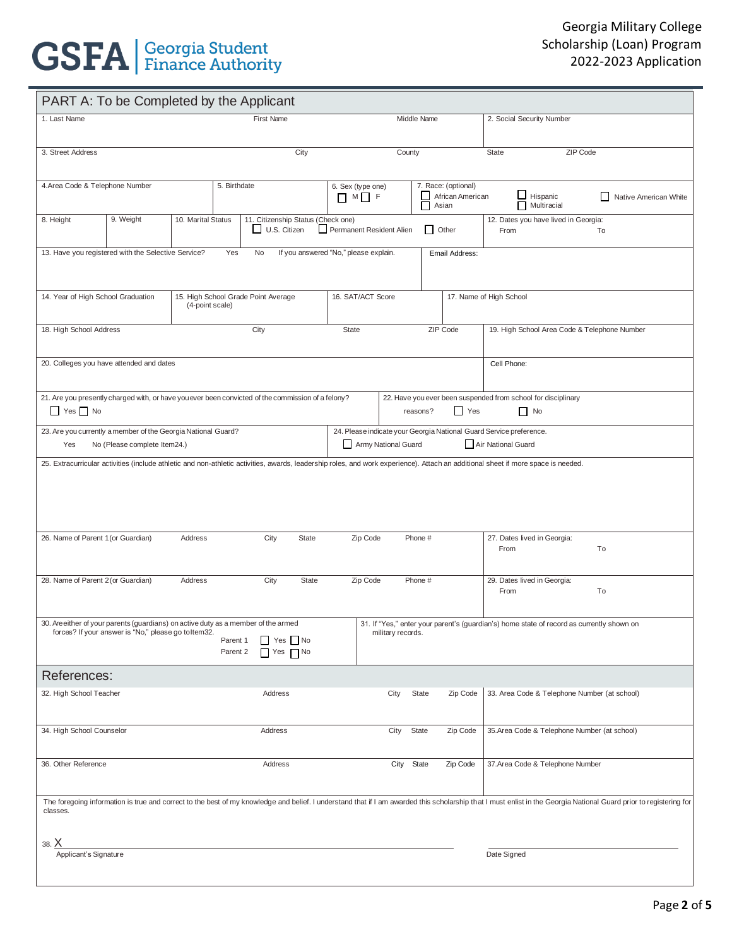| PART A: To be Completed by the Applicant                                                                                                                                                                                                                                                                             |                                                                                               |                                                                                 |              |                   |             |                                                                                       |                                              |                                              |                                                                                           |    |
|----------------------------------------------------------------------------------------------------------------------------------------------------------------------------------------------------------------------------------------------------------------------------------------------------------------------|-----------------------------------------------------------------------------------------------|---------------------------------------------------------------------------------|--------------|-------------------|-------------|---------------------------------------------------------------------------------------|----------------------------------------------|----------------------------------------------|-------------------------------------------------------------------------------------------|----|
| 1. Last Name                                                                                                                                                                                                                                                                                                         |                                                                                               |                                                                                 |              | <b>First Name</b> | Middle Name |                                                                                       |                                              |                                              | 2. Social Security Number                                                                 |    |
| 3. Street Address                                                                                                                                                                                                                                                                                                    |                                                                                               |                                                                                 |              | City              |             | County                                                                                |                                              |                                              | ZIP Code<br><b>State</b>                                                                  |    |
|                                                                                                                                                                                                                                                                                                                      |                                                                                               |                                                                                 |              |                   |             |                                                                                       |                                              |                                              |                                                                                           |    |
| 4. Area Code & Telephone Number                                                                                                                                                                                                                                                                                      |                                                                                               |                                                                                 | 5. Birthdate |                   |             | 6. Sex (type one)<br>7. Race: (optional)<br>African American<br>$M \qquad F$<br>Asian |                                              | Hispanic<br>$\Box$ Multiracial               | $\mathsf{L}$<br>Native American White                                                     |    |
| 8. Height                                                                                                                                                                                                                                                                                                            | 9. Weight                                                                                     | 11. Citizenship Status (Check one)<br>10. Marital Status<br>$\Box$ U.S. Citizen |              |                   |             | Permanent Resident Alien<br>Other                                                     |                                              |                                              | 12. Dates you have lived in Georgia:<br>From                                              | To |
| 13. Have you registered with the Selective Service?<br>Yes<br>If you answered "No," please explain.<br>No<br>Email Address:                                                                                                                                                                                          |                                                                                               |                                                                                 |              |                   |             |                                                                                       |                                              |                                              |                                                                                           |    |
| 14. Year of High School Graduation<br>(4-point scale)                                                                                                                                                                                                                                                                |                                                                                               | 15. High School Grade Point Average                                             |              | 16. SAT/ACT Score |             |                                                                                       |                                              | 17. Name of High School                      |                                                                                           |    |
| 18. High School Address                                                                                                                                                                                                                                                                                              |                                                                                               |                                                                                 | City         |                   | State       | ZIP Code                                                                              |                                              | 19. High School Area Code & Telephone Number |                                                                                           |    |
|                                                                                                                                                                                                                                                                                                                      | 20. Colleges you have attended and dates                                                      |                                                                                 |              |                   |             | Cell Phone:                                                                           |                                              |                                              |                                                                                           |    |
| 21. Are you presently charged with, or have you ever been convicted of the commission of a felony?<br>22. Have you ever been suspended from school for disciplinary<br>$\Box$ Yes $\Box$ No<br>$\Box$ Yes<br>$\Box$ No<br>reasons?                                                                                   |                                                                                               |                                                                                 |              |                   |             |                                                                                       |                                              |                                              |                                                                                           |    |
| Yes                                                                                                                                                                                                                                                                                                                  | 23. Are you currently a member of the Georgia National Guard?<br>No (Please complete Item24.) |                                                                                 |              |                   |             | Army National Guard                                                                   |                                              |                                              | 24. Please indicate your Georgia National Guard Service preference.<br>Air National Guard |    |
| 25. Extracurricular activities (include athletic and non-athletic activities, awards, leadership roles, and work experience). Attach an additional sheet if more space is needed.<br>27. Dates lived in Georgia:<br>26. Name of Parent 1 (or Guardian)<br>Address<br>City<br>State<br>Zip Code<br>Phone #            |                                                                                               |                                                                                 |              |                   |             |                                                                                       |                                              |                                              |                                                                                           |    |
|                                                                                                                                                                                                                                                                                                                      |                                                                                               |                                                                                 |              |                   |             |                                                                                       |                                              |                                              | From                                                                                      | To |
| 28. Name of Parent 2 (or Guardian)<br>29. Dates lived in Georgia:<br>Address<br>City<br>State<br>Zip Code<br>Phone #<br>From<br>To                                                                                                                                                                                   |                                                                                               |                                                                                 |              |                   |             |                                                                                       |                                              |                                              |                                                                                           |    |
| 30. Areeither of your parents (guardians) on active duty as a member of the armed<br>31. If "Yes," enter your parent's (guardian's) home state of record as currently shown on<br>forces? If your answer is "No," please go toltem32.<br>military records.<br>Yes No<br>Parent 1<br>$\Box$ Yes $\Box$ No<br>Parent 2 |                                                                                               |                                                                                 |              |                   |             |                                                                                       |                                              |                                              |                                                                                           |    |
| References:                                                                                                                                                                                                                                                                                                          |                                                                                               |                                                                                 |              |                   |             |                                                                                       |                                              |                                              |                                                                                           |    |
| 32. High School Teacher<br>Address                                                                                                                                                                                                                                                                                   |                                                                                               |                                                                                 |              | City              | State       | Zip Code                                                                              | 33. Area Code & Telephone Number (at school) |                                              |                                                                                           |    |
| 34. High School Counselor<br>Address                                                                                                                                                                                                                                                                                 |                                                                                               |                                                                                 |              | City              | State       | Zip Code                                                                              | 35. Area Code & Telephone Number (at school) |                                              |                                                                                           |    |
| 36. Other Reference<br>Address                                                                                                                                                                                                                                                                                       |                                                                                               |                                                                                 |              |                   | City State  | Zip Code                                                                              | 37. Area Code & Telephone Number             |                                              |                                                                                           |    |
| The foregoing information is true and correct to the best of my knowledge and belief. I understand that if I am awarded this scholarship that I must enlist in the Georgia National Guard prior to registering for<br>classes.                                                                                       |                                                                                               |                                                                                 |              |                   |             |                                                                                       |                                              |                                              |                                                                                           |    |
| 38. X<br>Applicant's Signature                                                                                                                                                                                                                                                                                       |                                                                                               |                                                                                 |              |                   |             |                                                                                       |                                              |                                              | Date Signed                                                                               |    |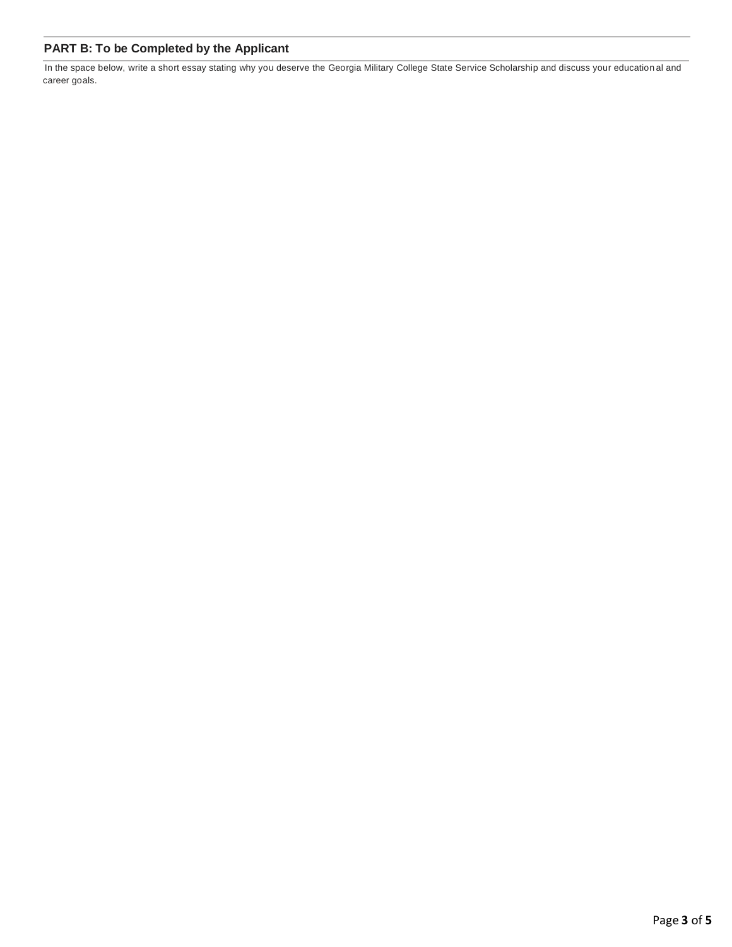## **PART B: To be Completed by the Applicant**

In the space below, write a short essay stating why you deserve the Georgia Military College State Service Scholarship and discuss your education al and career goals.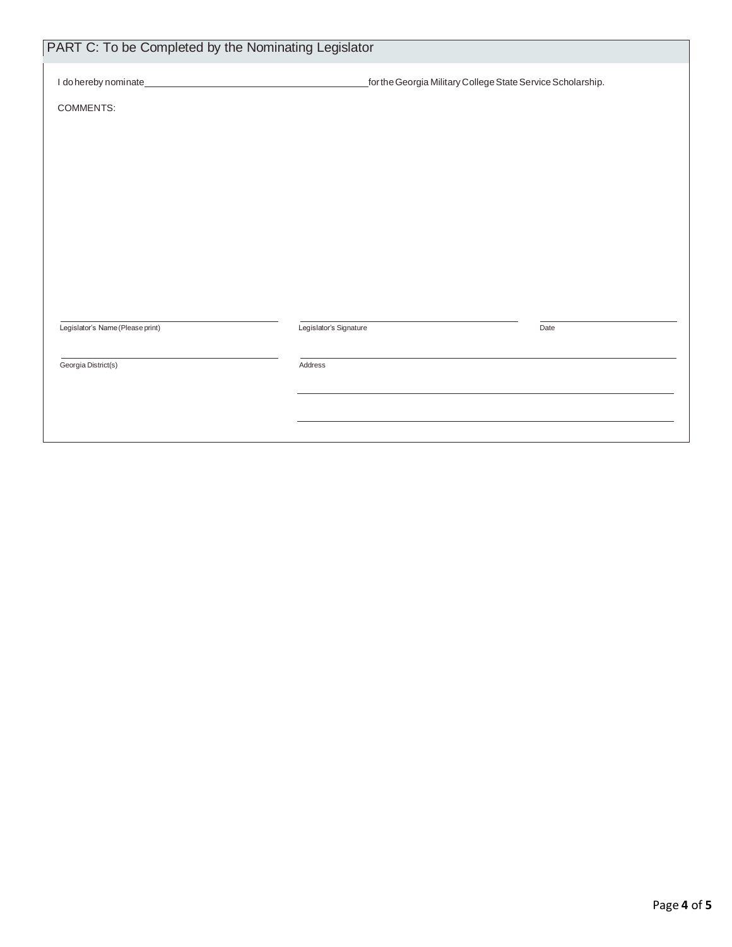| PART C: To be Completed by the Nominating Legislator |                                                             |      |
|------------------------------------------------------|-------------------------------------------------------------|------|
|                                                      | for the Georgia Military College State Service Scholarship. |      |
| COMMENTS:                                            |                                                             |      |
|                                                      |                                                             |      |
|                                                      |                                                             |      |
|                                                      |                                                             |      |
|                                                      |                                                             |      |
|                                                      |                                                             |      |
|                                                      |                                                             |      |
|                                                      |                                                             |      |
| Legislator's Name (Please print)                     | Legislator's Signature                                      | Date |
|                                                      |                                                             |      |
| Georgia District(s)                                  | Address                                                     |      |
|                                                      |                                                             |      |
|                                                      |                                                             |      |